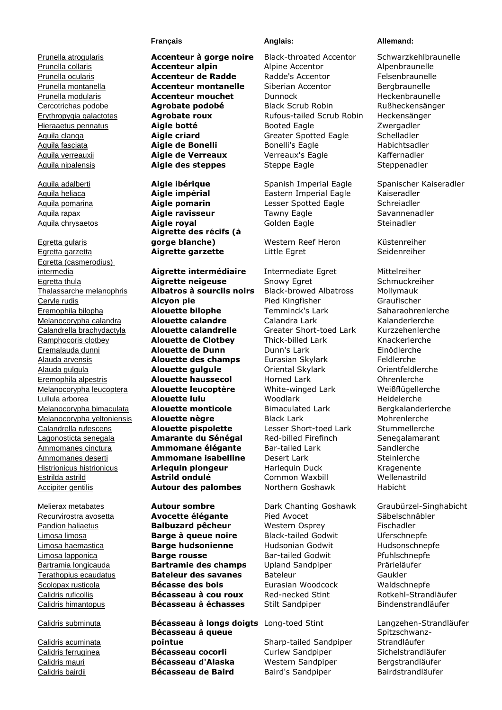Egretta gularis Egretta garzetta **Aigrette garzette** Little Egret Seidenreiher Egretta (casmerodius) intermedia **Aigrette intermédiaire** Intermediate Egret Mittelreiher

Calidris acuminata

Aquila heliaca **Aigle impérial** Eastern Imperial Eagle Kaiseradler Aquila pomarina **Aigle pomarin** Lesser Spotted Eagle Schreiadler Aquila rapax **Aigle ravisseur** Tawny Eagle Savannenadler Aquila chrysaetos **Aigle royal** Golden Eagle Steinadler **Aigrette des récifs (à gorge blanche)** Western Reef Heron Küstenreiher

Egretta thula **Aigrette neigeuse** Snowy Egret Schmuckreiher Thalassarche melanophris **Albatros à sourcils noirs** Black-browed Albatross Mollymauk Ceryle rudis **Alcyon pie** Pied Kingfisher Graufischer Eremophila bilopha **Alouette bilophe** Temminck's Lark Saharaohrenlerche Melanocorypha calandra **Alouette calandre** Calandra Lark Kalanderlerche Calandrella brachydactyla **Alouette calandrelle** Greater Short-toed Lark Kurzzehenlerche Ramphocoris clotbey **Alouette de Clotbey** Thick-billed Lark Knackerlerche Eremalauda dunni **Alouette de Dunn** Dunn's Lark Einödlerche Alauda arvensis **Alouette des champs** Eurasian Skylark Feldlerche Alauda gulgula **Alouette gulgule** Oriental Skylark Orientfeldlerche Eremophila alpestris **Alouette haussecol** Horned Lark Ohrenlerche Melanocorypha leucoptera **Alouette leucoptère** White-winged Lark Weißflügellerche Lullula arborea **Alouette lulu** Woodlark Heidelerche Melanocorypha bimaculata **Alouette monticole** Bimaculated Lark Bergkalanderlerche Melanocorypha yeltoniensis **Alouette nègre** Black Lark Mohrenlerche Calandrella rufescens **Alouette pispolette** Lesser Short-toed Lark Stummellerche Lagonosticta senegala **Amarante du Sénégal** Red-billed Firefinch Senegalamarant Ammomanes cinctura **Ammomane élégante** Bar-tailed Lark Sandlerche Ammomanes deserti **Ammomane isabelline** Desert Lark Steinlerche Histrionicus histrionicus **Arlequin plongeur** Harlequin Duck Kragenente Estrilda astrild **Astrild ondulé** Common Waxbill Wellenastrild Accipiter gentilis **Autour des palombes** Northern Goshawk Habicht

Recurvirostra avosetta **Avocette élégante** Pied Avocet Säbelschnäbler Pandion haliaetus **Balbuzard pêcheur** Western Osprey Fischadler Limosa limosa **Barge à queue noire** Black-tailed Godwit Uferschnepfe Limosa haemastica **Barge hudsonienne** Hudsonian Godwit Hudsonschnepfe Limosa lapponica **Barge rousse** Bar-tailed Godwit Pfuhlschnepfe Bartramia longicauda **Bartramie des champs** Upland Sandpiper Prärieläufer Terathopius ecaudatus **Bateleur des savanes** Bateleur Gaukler Scolopax rusticola **Bécasse des bois** Eurasian Woodcock Waldschnepfe Calidris ruficollis **Bécasseau à cou roux** Red-necked Stint Rotkehl-Strandläufer Calidris himantopus **Bécasseau à échasses** Stilt Sandpiper Bindenstrandläufer

**Bécasseau à queue pointue** Sharp-tailed Sandpiper Calidris ferruginea **Bécasseau cocorli** Curlew Sandpiper Sichelstrandläufer Calidris mauri **Bécasseau d'Alaska** Western Sandpiper Bergstrandläufer Calidris bairdii **Bécasseau de Baird** Baird's Sandpiper Bairdstrandläufer

Prunella atrogularis **Accenteur à gorge noire** Black-throated Accentor Schwarzkehlbraunelle Prunella collaris **Accenteur alpin** Alpine Accentor Alpenbraunelle Prunella ocularis **Accenteur de Radde** Radde's Accentor Felsenbraunelle Prunella montanella **Accenteur montanelle** Siberian Accentor Bergbraunelle Prunella modularis **Accenteur mouchet** Dunnock Heckenbraunelle Cercotrichas podobe **Agrobate podobé** Black Scrub Robin Rußheckensänger Erythropygia galactotes **Agrobate roux** Rufous-tailed Scrub Robin Heckensänger Hieraaetus pennatus **Aigle botté** Booted Eagle Zwergadler Aquila clanga **Aigle criard** Greater Spotted Eagle Schelladler Aquila fasciata **Aigle de Bonelli** Bonelli's Eagle Habichtsadler Aquila verreauxii **Aigle de Verreaux** Verreaux's Eagle Kaffernadler Aquila nipalensis **Aigle des steppes** Steppe Eagle Steppenadler

## **Français Anglais: Anglais: Allemand:**

Aquila adalberti **Aigle ibérique** Spanish Imperial Eagle Spanischer Kaiseradler

Melierax metabates **Autour sombre** Dark Chanting Goshawk Graubürzel-Singhabicht

Calidris subminuta **Bécasseau à longs doigts** Long-toed Stint Langzehen-Strandläufer Spitzschwanz-Strandläufer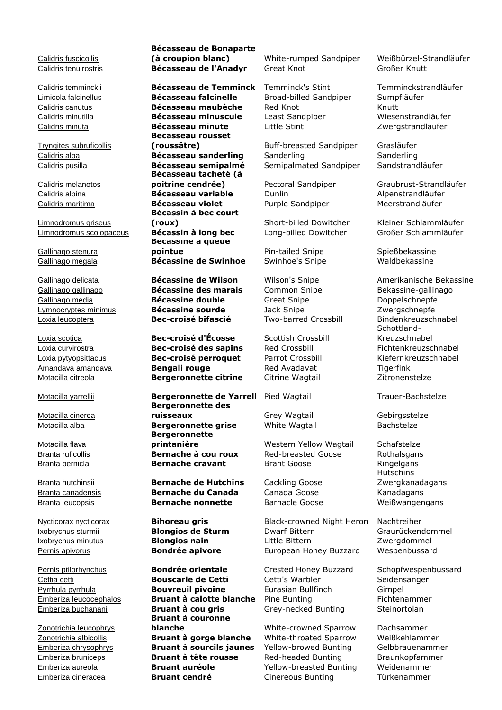Calidris fuscicollis

Tryngites subruficollis

Calidris melanotos

Limnodromus griseus

Gallinago stenura

Motacilla cinerea

Motacilla flava

Zonotrichia leucophrys

## **Bécasseau de Bonaparte (à croupion blanc)** White-rumped Sandpiper Weißbürzel-Strandläufer Calidris tenuirostris **Bécasseau de l'Anadyr** Great Knot Großer Knutt

Calidris temminckii **Bécasseau de Temminck** Temminck's Stint Temminckstrandläufer Limicola falcinellus **Bécasseau falcinelle** Broad-billed Sandpiper Sumpfläufer Calidris canutus **Bécasseau maubèche** Red Knot Knutt Calidris minutilla **Bécasseau minuscule** Least Sandpiper Wiesenstrandläufer Calidris minuta **Bécasseau minute** Little Stint Zwergstrandläufer **Bécasseau rousset (roussâtre)** Buff-breasted Sandpiper Grasläufer **Bécasseau tacheté (à poitrine cendrée)** Pectoral Sandpiper Graubrust-Strandläufer Calidris alpina **Bécasseau variable** Dunlin Alpenstrandläufer Calidris maritima **Bécasseau violet** Purple Sandpiper Meerstrandläufer **Bécassin à bec court (roux)** Short-billed Dowitcher Kleiner Schlammläufer Limnodromus scolopaceus **Bécassin à long bec** Long-billed Dowitcher Großer Schlammläufer **Bécassine à queue pointue** Pin-tailed Snipe Spießbekassine Gallinago megala **Bécassine de Swinhoe** Swinhoe's Snipe Waldbekassine

Gallinago gallinago **Bécassine des marais** Common Snipe Bekassine-gallinago Gallinago media **Bécassine double** Great Snipe **Doppelschnepfe** Lymnocryptes minimus **Bécassine sourde** Jack Snipe Zwergschnepfe Loxia leucoptera **Bec-croisé bifascié** Two-barred Crossbill Bindenkreuzschnabel

Loxia scotica **Bec-croisé d'Écosse** Scottish Crossbill Loxia curvirostra **Bec-croisé des sapins** Red Crossbill Fichtenkreuzschnabel Loxia pytyopsittacus **Bec-croisé perroquet** Parrot Crossbill Kiefernkreuzschnabel Amandava amandava **Bengali rouge** Red Avadavat Tigerfink Motacilla citreola **Bergeronnette citrine** Citrine Wagtail Zitronenstelze

Motacilla yarrellii **Bergeronnette de Yarrell** Pied Wagtail Trauer-Bachstelze **Bergeronnette des ruisseaux Grey Wagtail Gebirgsstelze** Motacilla alba **Bergeronnette grise** White Wagtail Bachstelze **Bergeronnette printanière Western Yellow Wagtail** Schafstelze Branta ruficollis **Bernache à cou roux** Red-breasted Goose Rothalsgans Branta bernicla **Bernache cravant** Brant Goose Ringelgans

Branta hutchinsii **Bernache de Hutchins** Cackling Goose Branta canadensis **Bernache du Canada** Canada Goose Kanadagans Branta leucopsis **Bernache nonnette** Barnacle Goose Weißwangengans

Cettia cetti **Bouscarle de Cetti** Cetti's Warbler Seidensänger Pyrrhula pyrrhula **Bouvreuil pivoine** Eurasian Bullfinch Gimpel Emberiza leucocephalos **Bruant à calotte blanche** Pine Bunting Fichtenammer Emberiza buchanani **Bruant à cou gris** Grey-necked Bunting Steinortolan **Bruant à couronne blanche** White-crowned Sparrow Dachsammer Zonotrichia albicollis **Bruant à gorge blanche** White-throated Sparrow Weißkehlammer Emberiza chrysophrys **Bruant à sourcils jaunes** Yellow-browed Bunting Gelbbrauenammer Emberiza bruniceps **Bruant à tête rousse** Red-headed Bunting Braunkopfammer Emberiza aureola **Bruant auréole** Yellow-breasted Bunting Weidenammer Emberiza cineracea **Bruant cendré** Cinereous Bunting Türkenammer

Calidris alba **Bécasseau sanderling** Sanderling Sanderling Calidris pusilla **Bécasseau semipalmé** Semipalmated Sandpiper Sandstrandläufer

Nycticorax nycticorax **Bihoreau gris** Black-crowned Night Heron Nachtreiher Ixobrychus sturmii **Blongios de Sturm** Dwarf Bittern Graurückendommel Ixobrychus minutus **Blongios nain** Little Bittern Zwergdommel Pernis apivorus **Bondrée apivore** European Honey Buzzard Wespenbussard

Pernis ptilorhynchus **Bondrée orientale** Crested Honey Buzzard Schopfwespenbussard

Gallinago delicata **Bécassine de Wilson** Wilson's Snipe **Amerikanische Bekassine** Schottland-Kreuzschnabel

Hutschins Zwergkanadagans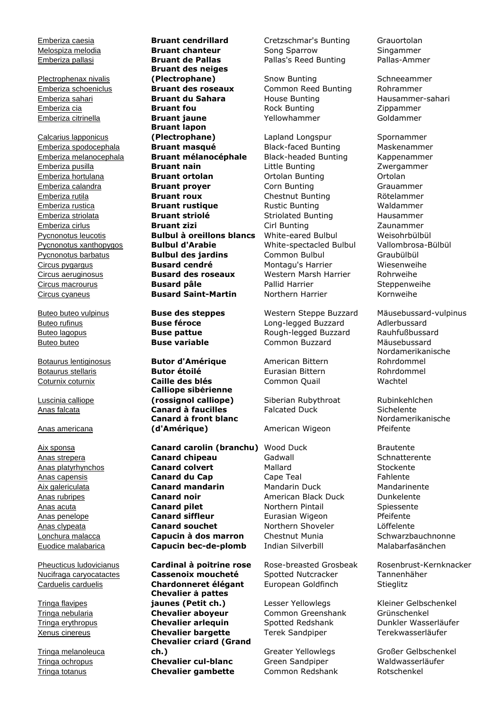Plectrophenax nivalis

Calcarius lapponicus

Luscinia calliope

# Anas americana

Tringa flavipes

Tringa melanoleuca

Melospiza melodia **Bruant chanteur** Song Sparrow Singammer Emberiza pallasi **Bruant de Pallas** Pallas's Reed Bunting Pallas-Ammer **Bruant des neiges (Plectrophane)** Snow Bunting Schneeammer Emberiza schoeniclus **Bruant des roseaux** Common Reed Bunting Rohrammer Emberiza sahari **Bruant du Sahara** House Bunting Hausammer-sahari Emberiza cia **Bruant fou** Rock Bunting Zippammer Emberiza citrinella **Bruant jaune** Yellowhammer Goldammer **Bruant lapon (Plectrophane)** Lapland Longspur Spornammer Emberiza spodocephala **Bruant masqué** Black-faced Bunting Maskenammer Emberiza melanocephala **Bruant mélanocéphale** Black-headed Bunting Kappenammer Emberiza pusilla **Bruant nain** Little Bunting Zwergammer Emberiza hortulana **Bruant ortolan** Ortolan Bunting Ortolan Emberiza calandra **Bruant proyer** Corn Bunting Grauammer Emberiza rutila **Bruant roux** Chestnut Bunting Rötelammer Emberiza rustica **Bruant rustique** Rustic Bunting Waldammer Emberiza striolata **Bruant striolé** Striolated Bunting Hausammer Emberiza cirlus **Bruant zizi** Cirl Bunting Zaunammer Pycnonotus leucotis **Bulbul à oreillons blancs** White-eared Bulbul Weisohrbülbül<br>Pycnonotus xanthopygos **Bulbul d'Arabie** White-spectacled Bulbul Vallombrosa-B Pycnonotus xanthopygos **Bulbul d'Arabie** White-spectacled Bulbul Vallombrosa-Bülbül Pycnonotus barbatus **Bulbul des jardins** Common Bulbul Graubülbül Circus pygargus **Busard cendré** Montagu's Harrier Wiesenweihe Circus aeruginosus **Busard des roseaux** Western Marsh Harrier Rohrweihe Circus macrourus **Busard pâle** Pallid Harrier Steppenweihe Circus cyaneus **Busard Saint-Martin** Northern Harrier Kornweihe

Botaurus lentiginosus **Butor d'Amérique** American Bittern Botaurus stellaris **Butor étoilé** Eurasian Bittern Rohrdommel Coturnix coturnix **Caille des blés** Common Quail Wachtel **Calliope sibérienne (rossignol calliope)** Siberian Rubythroat Rubinkehlchen Anas falcata **Canard à faucilles** Falcated Duck Sichelente **Canard à front blanc (d'Amérique)** American Wigeon

Aix sponsa **Canard carolin (branchu)** Wood Duck Brautente Anas strepera **Canard chipeau** Gadwall Schnatterente Anas platyrhynchos **Canard colvert** Mallard Mallard Stockente Anas capensis **Canard du Cap** Cape Teal Fahlente Aix galericulata **Canard mandarin** Mandarin Duck Mandarinente Anas rubripes **Canard noir Canard Dunkelente Canard noir** American Black Duck Dunkelente Anas acuta **Canard pilet** Northern Pintail Spiessente Anas penelope **Canard siffleur** Eurasian Wigeon Pfeifente Anas clypeata **Canard souchet** Northern Shoveler Löffelente Lonchura malacca **Capucin à dos marron** Chestnut Munia **Capuchauchnonne** Euodice malabarica **Capucin bec-de-plomb** Indian Silverbill Malabarfasänchen

Pheucticus ludovicianus **Cardinal à poitrine rose** Rose-breasted Grosbeak Rosenbrust-Kernknacker Nucifraga caryocatactes **Cassenoix moucheté** Spotted Nutcracker Tannenhäher Carduelis carduelis **Chardonneret élégant** European Goldfinch Stieglitz **Chevalier à pattes jaunes (Petit ch.)** Lesser Yellowlegs Kleiner Gelbschenkel Tringa nebularia **Chevalier aboyeur** Common Greenshank Grünschenkel Tringa erythropus **Chevalier arlequin** Spotted Redshank Dunkler Wasserläufer Xenus cinereus **Chevalier bargette** Terek Sandpiper Terekwasserläufer **Chevalier criard (Grand ch.)** Greater Yellowlegs Großer Gelbschenkel Tringa ochropus **Chevalier cul-blanc** Green Sandpiper Waldwasserläufer Tringa totanus **Chevalier gambette** Common Redshank Rotschenkel

Emberiza caesia **Bruant cendrillard** Cretzschmar's Bunting Grauortolan

Buteo buteo vulpinus **Buse des steppes** Western Steppe Buzzard Mäusebussard-vulpinus Buteo rufinus **Buse féroce** Long-legged Buzzard Adlerbussard Buteo lagopus **Buse pattue** Rough-legged Buzzard Rauhfußbussard Buteo buteo **Buse variable** Common Buzzard Mäusebussard

Nordamerikanische Rohrdommel

Nordamerikanische Pfeifente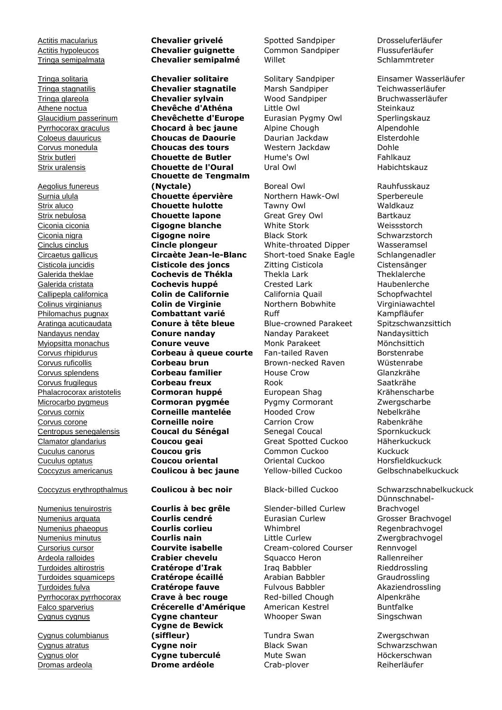Tringa glareola **Chevalier sylvain** 

Aegolius funereus

Cygnus columbianus

# Actitis macularius **Chevalier grivelé** Spotted Sandpiper Drosseluferläufer Actitis hypoleucos **Chevalier guignette** Common Sandpiper Flussuferläufer Tringa semipalmata **Chevalier semipalmé** Willet Schlammtreter

Tringa solitaria **Chevalier solitaire** Solitary Sandpiper Einsamer Wasserläufer Tringa stagnatilis **Chevalier stagnatile** Marsh Sandpiper Teichwasserläufer Athene noctua **Chevêche d'Athéna** Little Owl Steinkauz Glaucidium passerinum **Chevêchette d'Europe** Eurasian Pygmy Owl Sperlingskauz Pyrrhocorax graculus **Chocard à bec jaune** Alpine Chough Alpendohle Coloeus dauuricus **Choucas de Daourie** Daurian Jackdaw Elsterdohle Corvus monedula **Choucas des tours** Western Jackdaw Dohle Strix butleri **Chouette de Butler** Hume's Owl Fahlkauz Strix uralensis **Chouette de l'Oural** Ural Owl Habichtskauz **Chouette de Tengmalm (Nyctale) Boreal Owl** Rauhfusskauz Surnia ulula **Chouette épervière** Northern Hawk-Owl Sperbereule Strix aluco **Chouette hulotte** Tawny Owl Waldkauz Strix nebulosa **Chouette lapone** Great Grey Owl Bartkauz Ciconia ciconia **Cigogne blanche** White Stork Weissstorch **Ciconia nigra Cigogne noire** Black Stork Schwarzstorch Cinclus cinclus **Cincle plongeur** White-throated Dipper Wasseramsel Circaetus gallicus **Circaète Jean-le-Blanc** Short-toed Snake Eagle Schlangenadler Cisticola juncidis **Cisticole des joncs** Zitting Cisticola Cistensänger Galerida theklae **Cochevis de Thékla** Thekla Lark Theklalerche Galerida cristata **Cochevis huppé** Crested Lark Haubenlerche Callipepla californica **Colin de Californie** California Quail Schopfwachtel Colinus virginianus **Colin de Virginie** Northern Bobwhite Virginiawachtel Philomachus pugnax **Combattant varié** Ruff **Ruff** Kampfläufer Aratinga acuticaudata **Conure à tête bleue** Blue-crowned Parakeet Spitzschwanzsittich Nandayus nenday **Conure nanday** Nanday Parakeet Nandaysittich Mviopsitta monachus **Conure veuve** Monk Parakeet Mönchsittich Corvus rhipidurus **Corbeau à queue courte** Fan-tailed Raven Borstenrabe Corvus ruficollis **Corbeau brun** Brown-necked Raven Wüstenrabe Corvus splendens **Corbeau familier** House Crow Glanzkrähe Corvus frugilegus **Corbeau freux** Rook Saatkrähe Phalacrocorax aristotelis **Cormoran huppé** European Shag Krähenscharbe Microcarbo pygmeus **Cormoran pygmée** Pygmy Cormorant Zwergscharbe Corvus cornix **Corneille mantelée** Hooded Crow Nebelkrähe Corvus corone **Corneille noire** Carrion Crow Rabenkrähe Centropus senegalensis **Coucal du Sénégal** Senegal Coucal Spornkuckuck Clamator glandarius **Coucou geai** Great Spotted Cuckoo Häherkuckuck Cuculus canorus **Coucou gris** Common Cuckoo Kuckuck Cuculus optatus **Coucou oriental** Oriental Cuckoo Horsfieldkuckuck Coccyzus americanus **Coulicou à bec jaune** Yellow-billed Cuckoo Gelbschnabelkuckuck

Numenius tenuirostris **Courlis à bec grêle** Slender-billed Curlew Numenius arquata **Courlis cendré** Eurasian Curlew Grosser Brachvogel Numenius phaeopus **Courlis corlieu** Whimbrel Regenbrachvogel Numenius minutus **Courlis nain** Little Curlew Zwergbrachvogel Cursorius cursor **Courvite isabelle** Cream-colored Courser Rennvogel Ardeola ralloides **Crabier chevelu** Squacco Heron Rallenreiher Turdoides altirostris **Cratérope d'Irak** Iraq Babbler Rieddrossling Turdoides squamiceps **Cratérope écaillé** Arabian Babbler Graudrossling Turdoides fulva **Cratérope fauve** Fulvous Babbler Akaziendrossling Pyrrhocorax pyrrhocorax **Crave à bec rouge** Red-billed Chough Alpenkrähe Falco sparverius **Crécerelle d'Amérique** American Kestrel Buntfalke Cygnus cygnus **Cygne chanteur** Whooper Swan Singschwan **Cygne de Bewick (siffleur)** Tundra Swan Zwergschwan **Cygnus atratus Cygne noir** Black Swan Schwarzschwan Cygnus olor **Cygne tuberculé** Mute Swan Höckerschwan Dromas ardeola **Drome ardéole** Crab-plover Reiherläufer

Coccyzus erythropthalmus **Coulicou à bec noir** Black-billed Cuckoo Schwarzschnabelkuckuck Dünnschnabel-Brachvogel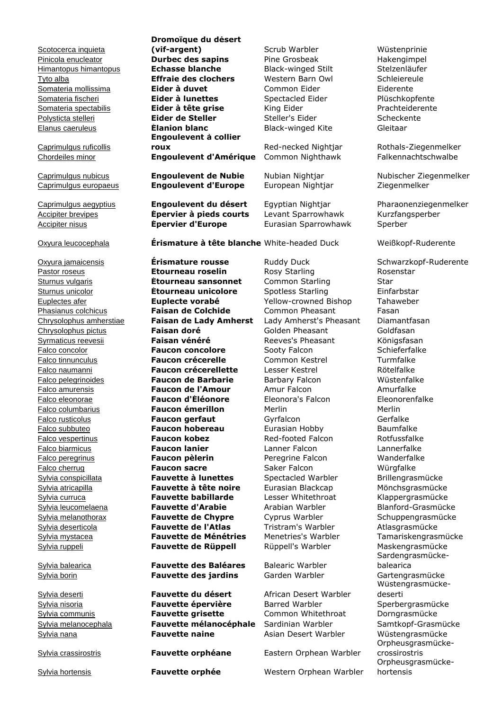Scotocerca inquieta

Caprimulgus ruficollis

**Dromoïque du désert (vif-argent)** Scrub Warbler Wüstenprinie Pinicola enucleator **Durbec des sapins** Pine Grosbeak Hakengimpel Himantopus himantopus **Échasse blanche** Black-winged Stilt Stelzenläufer Tyto alba **Effraie des clochers** Western Barn Owl Schleiereule Somateria mollissima **Eider à duvet** Common Eider Eiderente Somateria fischeri **Eider à lunettes** Spectacled Eider Plüschkopfente Somateria spectabilis **Eider à tête grise** King Eider **Eider Australia et ans an America** Prachteiderente Polysticta stelleri **Eider de Steller** Steller's Eider Scheckente Elanus caeruleus **Élanion blanc** Black-winged Kite Gleitaar **Engoulevent à collier roux Red-necked Nightiar** Rothals-Ziegenmelker Chordeiles minor **Engoulevent d'Amérique** Common Nighthawk Falkennachtschwalbe Caprimulgus nubicus **Engoulevent de Nubie** Nubian Nightjar Nubischer Ziegenmelker Caprimulgus europaeus **Engoulevent d'Europe** European Nightjar Ziegenmelker Caprimulgus aegyptius **Engoulevent du désert** Egyptian Nightjar Pharaonenziegenmelker Accipiter brevipes **Epervier à pieds courts** Levant Sparrowhawk Kurzfangsperber Accipiter nisus **Épervier d'Europe** Eurasian Sparrowhawk Sperber Oxyura jamaicensis **Érismature rousse** Ruddy Duck Schwarzkopf-Ruderente Pastor roseus **Etourneau roselin** Rosy Starling Rosenstar Sturnus vulgaris **Étourneau sansonnet** Common Starling Star Sturnus unicolor **Étourneau unicolore** Spotless Starling Einfarbstar Euplectes afer **Euplecte vorabé** Yellow-crowned Bishop Tahaweber Phasianus colchicus **Faisan de Colchide** Common Pheasant Fasan Chrysolophus amherstiae **Faisan de Lady Amherst** Lady Amherst's Pheasant Diamantfasan Chrysolophus pictus **Faisan doré** Golden Pheasant Goldfasan Syrmaticus reevesii **Faisan vénéré Reeves's Pheasant** Königsfasan Falco concolor **Faucon concolore** Sooty Falcon Schieferfalke Falco tinnunculus **Faucon crécerelle** Common Kestrel **Turmfalke** Falco naumanni **Faucon crécerellette** Lesser Kestrel Rötelfalke Falco pelegrinoides **Faucon de Barbarie** Barbary Falcon Wüstenfalke Falco amurensis **Faucon de l'Amour** Amur Falcon Amurfalke Falco eleonorae **Faucon d'Éléonore** Eleonora's Falcon Eleonorenfalke Falco columbarius **Faucon émerillon** Merlin Merlin Falco rusticolus **Faucon gerfaut** Gyrfalcon Gerfalke Falco subbuteo **Faucon hobereau** Eurasian Hobby Baumfalke Falco vespertinus **Faucon kobez** Red-footed Falcon Rotfussfalke Falco biarmicus **Faucon lanier** Lanner Falcon Lannerfalke Falco peregrinus **Faucon pèlerin** Peregrine Falcon Wanderfalke Falco cherrug **Faucon sacre** Saker Falcon Würgfalke Sylvia conspicillata **Fauvette à lunettes** Spectacled Warbler Brillengrasmücke Sylvia atricapilla **Fauvette à tête noire** Eurasian Blackcap Mönchsgrasmücke Sylvia curruca **Fauvette babillarde** Lesser Whitethroat Klappergrasmücke Sylvia leucomelaena **Fauvette d'Arabie** Arabian Warbler Blanford-Grasmücke Sylvia melanothorax **Fauvette de Chypre** Cyprus Warbler Schuppengrasmücke Sylvia deserticola **Fauvette de l'Atlas** Tristram's Warbler Atlasgrasmücke Sylvia mystacea **Fauvette de Ménétries** Menetries's Warbler Tamariskengrasmücke Sylvia ruppeli **Fauvette de Rüppell** Rüppell's Warbler Maskengrasmücke

Sylvia balearica **Fauvette des Baléares** Balearic Warbler Sylvia borin **Fauvette des jardins** Garden Warbler Gartengrasmücke

Sylvia deserti **Fauvette du désert** African Desert Warbler Sylvia nisoria **Fauvette épervière** Barred Warbler Sperbergrasmücke Sylvia communis **Fauvette grisette** Common Whitethroat Dorngrasmücke Sylvia melanocephala **Fauvette mélanocéphale** Sardinian Warbler Samtkopf-Grasmücke Sylvia nana **Fauvette naine** Asian Desert Warbler Wüstengrasmücke

Oxyura leucocephala **Érismature à tête blanche** White-headed Duck Weißkopf-Ruderente

Sylvia crassirostris **Fauvette orphéane** Eastern Orphean Warbler

Sylvia hortensis **Fauvette orphée** Western Orphean Warbler

Sardengrasmückebalearica Wüstengrasmückedeserti Orpheusgrasmückecrossirostris Orpheusgrasmückehortensis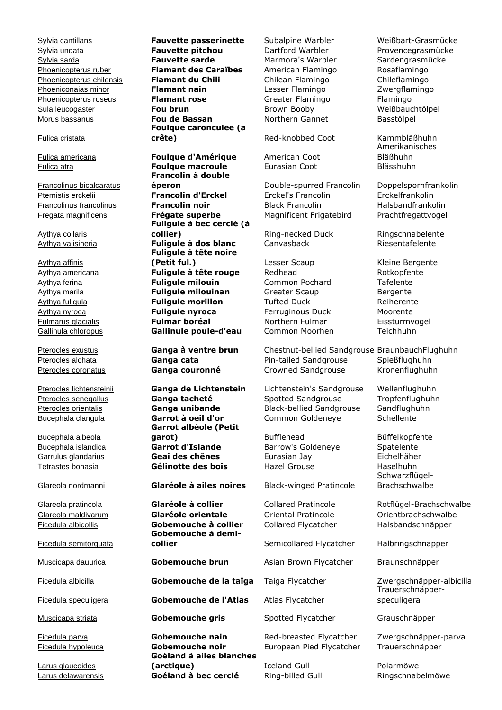Sylvia cantillans **Fauvette passerinette** Subalpine Warbler Weißbart-Grasmücke

## Fulica cristata

Francolinus bicalcaratus

Aythya collaris

Aythya affinis

Bucephala albeola

Ficedula semitorquata

Larus glaucoides

Sylvia undata **Fauvette pitchou** Dartford Warbler Provencegrasmücke Sylvia sarda **Fauvette sarde** Marmora's Warbler Sardengrasmücke Phoenicopterus ruber **Flamant des Caraïbes** American Flamingo Rosaflamingo Phoenicopterus chilensis **Flamant du Chili** Chilean Flamingo Chileflamingo Phoeniconaias minor **Flamant nain** Lesser Flamingo Zwergflamingo Phoenicopterus roseus **Flamant rose** Greater Flamingo Flamingo Sula leucogaster **Fou brun** Brown Booby Weißbauchtölpel Morus bassanus **Fou de Bassan** Northern Gannet Basstölpel **Foulque caronculée (à crête)** Red-knobbed Coot Kammbläßhuhn

Fulica americana **Foulque d'Amérique** American Coot Fulica atra **Foulque macroule** Eurasian Coot Blässhuhn **Francolin à double éperon** Double-spurred Francolin Doppelspornfrankolin<br> **Francolin d'Erckel** Erckel's Francolin Erckelfrankolin Pternistis erckelii **Francolin d'Erckel** Erckel's Francolin **Francolinus francolinus <b>Francolin noir** Black Francolin Halsbandfrankolin **Francoling** Fregata magnificens **Frégate superbe** Magnificent Frigatebird Prachtfregattvogel **Fuligule à bec cerclé (à collier)** Ring-necked Duck Ringschnabelente Aythya valisineria **Fuligule à dos blanc** Canvasback Riesentafelente **Fuligule à tête noire (Petit ful.)** Lesser Scaup Kleine Bergente Aythya americana **Fuligule à tête rouge** Redhead Rotkopfente Aythya ferina **Fuligule milouin** Common Pochard Tafelente Aythya marila **Fuligule milouinan** Greater Scaup Bergente Aythya fuligula **Fuligule morillon** Tufted Duck Reiherente Aythya nyroca **Fuligule nyroca** Ferruginous Duck Moorente Fulmarus glacialis **Fulmar boréal** Northern Fulmar Eissturmvogel Gallinula chloropus **Gallinule poule-d'eau** Common Moorhen Teichhuhn

**Garrot albéole (Petit**  garot) Bufflehead Büffelkopfente Bucephala islandica **Garrot d'Islande** Barrow's Goldeneye Spatelente Garrulus glandarius **Geai des chênes** Eurasian Jay Eichelhäher Tetrastes bonasia **Gélinotte des bois** Hazel Grouse Haselhuhn

Glareola nordmanni **Glaréole à ailes noires** Black-winged Pratincole

Glareola pratincola **Glaréole à collier** Collared Pratincole Rotflügel-Brachschwalbe Glareola maldivarum **Glaréole orientale** Oriental Pratincole Orientbrachschwalbe Ficedula albicollis **Gobemouche à collier** Collared Flycatcher Halsbandschnäpper **Gobemouche à demi-**

Muscicapa dauurica **Gobemouche brun** Asian Brown Flycatcher Braunschnäpper

Ficedula albicilla **Gobemouche de la taïga** Taiga Flycatcher Zwergschnäpper-albicilla

Ficedula speculigera **Gobemouche de l'Atlas** Atlas Flycatcher

Muscicapa striata **Gobemouche gris** Spotted Flycatcher Grauschnäpper

Ficedula parva **Gobemouche nain** Red-breasted Flycatcher Zwergschnäpper-parva Ficedula hypoleuca **Gobemouche noir** European Pied Flycatcher Trauerschnäpper **Goéland à ailes blanches (arctique)** Iceland Gull **Polarmöwe** Larus delawarensis **Goéland à bec cerclé** Ring-billed Gull Ringschnabelmöwe

Pterocles exustus **Ganga à ventre brun** Chestnut-bellied Sandgrouse BraunbauchFlughuhn Pterocles alchata **Ganga cata** Pin-tailed Sandgrouse Spießflughuhn Pterocles coronatus **Ganga couronné** Crowned Sandgrouse Kronenflughuhn

Pterocles lichtensteinii **Ganga de Lichtenstein** Lichtenstein's Sandgrouse Wellenflughuhn Pterocles senegallus **Ganga tacheté** Spotted Sandgrouse Tropfenflughuhn Pterocles orientalis **Ganga unibande** Black-bellied Sandgrouse Sandflughuhn Bucephala clangula **Garrot à oeil d'or** Common Goldeneye Schellente

**collier** Semicollared Flycatcher Halbringschnäpper

Amerikanisches Bläßhuhn

Schwarzflügel-Brachschwalbe

Trauerschnäpperspeculigera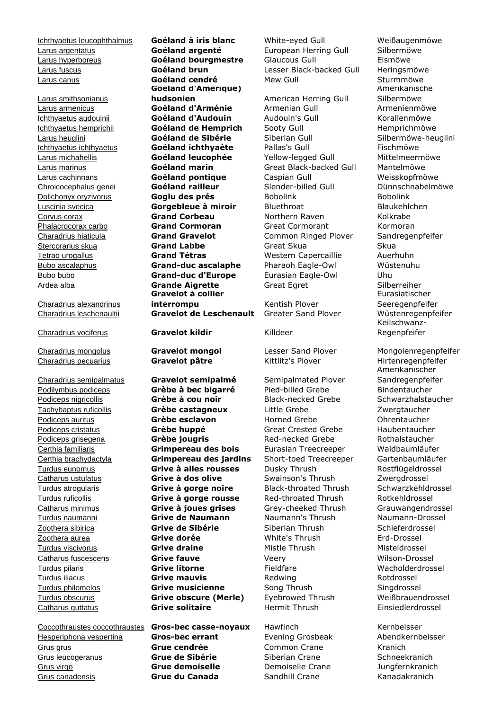Larus canus **Goéland cendré** 

Larus smithsonianus

Charadrius alexandrinus

Coccothraustes coccothraustes **Gros-bec casse-noyaux** Hawfinch Kernbeisser Hesperiphona vespertina **Gros-bec errant** Evening Grosbeak Abendkernbeisser Grus grus **Grue cendrée** Common Crane Kranich Grus leucogeranus **Grue de Sibérie** Siberian Crane Schneekranich Grus virgo **Grue demoiselle** Demoiselle Crane Jungfernkranich Grus canadensis **Grue du Canada** Sandhill Crane Kanadakranich

**Goéland d'Amérique) hudsonien** American Herring Gull Larus armenicus **Goéland d'Arménie** Armenian Gull **Armenienmöwe** Ichthyaetus audouinii **Goéland d'Audouin** Audouin's Gull Korallenmöwe Ichthyaetus hemprichii **Goéland de Hemprich** Sooty Gull Hemprichmöwe Larus heuglini **Goéland de Sibérie** Siberian Gull Silbermöwe-heuglini Ichthyaetus ichthyaetus **Goéland ichthyaète** Pallas's Gull Fischmöwe Larus michahellis **Goéland leucophée** Yellow-legged Gull Mittelmeermöwe Larus marinus **Goéland marin** Great Black-backed Gull Mantelmöwe Larus cachinnans **Goéland pontique** Caspian Gull Weisskopfmöwe Chroicocephalus genei **Goéland railleur** Slender-billed Gull Dünnschnabelmöwe Dolichonyx oryzivorus **Goglu des prés** Bobolink Bobolink Luscinia svecica **Gorgebleue à miroir** Bluethroat Blaukehlchen Corvus corax **Grand Corbeau** Northern Raven Kolkrabe Phalacrocorax carbo **Grand Cormoran** Great Cormorant Kormoran Charadrius hiaticula **Grand Gravelot** Common Ringed Plover Sandregenpfeifer Stercorarius skua **Grand Labbe** Great Skua Great Skua Tetrao urogallus **Grand Tétras** Western Capercaillie Auerhuhn Bubo ascalaphus **Grand-duc ascalaphe** Pharaoh Eagle-Owl Wüstenuhu Bubo bubo **Grand-duc d'Europe** Eurasian Eagle-Owl Uhu Ardea alba **Grande Aigrette** Great Egret Silberreiher **Gravelot à collier interrompu** Kentish Plover Charadrius leschenaultii **Gravelot de Leschenault** Greater Sand Plover Wüstenregenpfeifer Charadrius vociferus **Gravelot kildir** Killdeer

Charadrius semipalmatus **Gravelot semipalmé** Semipalmated Plover Podilymbus podiceps **Grèbe à bec bigarré** Pied-billed Grebe Bindentaucher Podiceps nigricollis **Grèbe à cou noir** Black-necked Grebe Schwarzhalstaucher Tachybaptus ruficollis **Grèbe castagneux** Little Grebe Zwergtaucher Podiceps auritus **Grèbe esclavon** Horned Grebe **Ohrentaucher** Podiceps cristatus **Grèbe huppé** Great Crested Grebe Haubentaucher Podiceps grisegena **Grèbe jougris** Red-necked Grebe Rothalstaucher Certhia familiaris **Grimpereau des bois** Eurasian Treecreeper Waldbaumläufer Certhia brachydactyla **Grimpereau des jardins** Short-toed Treecreeper Gartenbaumläufer Turdus eunomus **Grive à ailes rousses** Dusky Thrush Rostflügeldrossel Catharus ustulatus **Grive à dos olive** Swainson's Thrush Zwergdrossel Turdus atrogularis **Grive à gorge noire** Black-throated Thrush Schwarzkehldrossel Turdus ruficollis **Grive à gorge rousse** Red-throated Thrush Rotkehldrossel Catharus minimus **Grive à joues grises** Grey-cheeked Thrush Grauwangendrossel Turdus naumanni **Grive de Naumann** Naumann's Thrush Naumann-Drossel Zoothera sibirica **Grive de Sibérie** Siberian Thrush Schieferdrossel Zoothera aurea **Grive dorée** White's Thrush Erd-Drossel Turdus viscivorus **Grive draine** Mistle Thrush Misteldrossel Catharus fuscescens **Grive fauve** Veery Wilson-Drossel Turdus pilaris **Grive litorne** Fieldfare Wacholderdrossel Turdus iliacus **Grive mauvis** Redwing Rotdrossel Turdus philomelos **Grive musicienne** Song Thrush Singdrossel Turdus obscurus **Grive obscure (Merle)** Eyebrowed Thrush Weißbrauendrossel Catharus guttatus **Grive solitaire** Hermit Thrush Einsiedlerdrossel

Ichthyaetus leucophthalmus **Goéland à iris blanc** White-eyed Gull Weißaugenmöwe Larus argentatus **Goéland argenté** European Herring Gull Silbermöwe Larus hyperboreus **Goéland bourgmestre** Glaucous Gull Eismöwe Larus fuscus **Goéland brun** Lesser Black-backed Gull Heringsmöwe

Charadrius mongolus **Gravelot mongol** Lesser Sand Plover Mongolenregenpfeifer Charadrius pecuarius **Gravelot pâtre** Kittlitz's Plover Hirtenregenpfeifer

Amerikanische Silbermöwe Eurasiatischer Seeregenpfeifer Keilschwanz-Regenpfeifer

Amerikanischer Sandregenpfeifer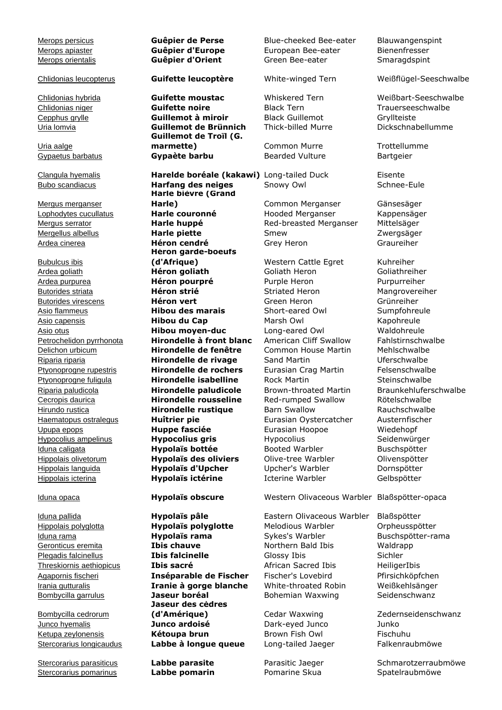Uria aalge

Mergus merganser

Bubulcus ibis

Bombycilla cedrorum

Stercorarius pomarinus **Labbe pomarin** Pomarine Skua Spatelraubmöwe

Chlidonias hybrida **Guifette moustac** Whiskered Tern Weißbart-Seeschwalbe Chlidonias niger **Guifette noire** Black Tern Trauerseeschwalbe Cepphus grylle **Guillemot à miroir** Black Guillemot Gryllteiste Uria lomvia **Guillemot de Brünnich** Thick-billed Murre Dickschnabellumme **Guillemot de Troïl (G. marmette)** Common Murre Trottellumme Gypaetus barbatus **Gypaète barbu** Bearded Vulture Bartgeier

Clangula hyemalis **Harelde boréale (kakawi)** Long-tailed Duck Eisente Bubo scandiacus **Harfang des neiges** Snowy Owl Schnee-Eule **Harle bièvre (Grand Harle)** Common Merganser Gänsesäger Lophodytes cucullatus **Harle couronné** Hooded Merganser Kappensäger Mergus serrator **Harle huppé** Red-breasted Merganser Mittelsäger Mergellus albellus **Harle piette** Smew Zwergsäger Ardea cinerea **Héron cendré** Grey Heron Graureiher **Héron garde-boeufs (d'Afrique)** Western Cattle Egret Kuhreiher Ardea goliath **Héron goliath** Goliath Heron Goliathreiher Ardea purpurea **Héron pourpré** Purple Heron Purpurreiher Butorides striata **Héron strié** Striated Heron Mangrovereiher Butorides virescens **Héron vert** Green Heron Grünreiher Asio flammeus **Hibou des marais** Short-eared Owl Sumpfohreule Asio capensis **Hibou du Cap** Marsh Owl Kapohreule Asio otus **Hibou moyen-duc** Long-eared Owl Waldohreule Petrochelidon pyrrhonota **Hirondelle à front blanc** American Cliff Swallow Fahlstirnschwalbe Delichon urbicum **Hirondelle de fenêtre** Common House Martin Mehlschwalbe Riparia riparia **Hirondelle de rivage** Sand Martin Uferschwalbe Ptyonoprogne rupestris **Hirondelle de rochers** Eurasian Crag Martin Felsenschwalbe Ptyonoprogne fuligula **Hirondelle isabelline** Rock Martin Steinschwalbe Riparia paludicola **Hirondelle paludicole** Brown-throated Martin Braunkehluferschwalbe Cecropis daurica **Hirondelle rousseline** Red-rumped Swallow Rötelschwalbe Hirundo rustica **Hirondelle rustique** Barn Swallow Rauchschwalbe Haematopus ostralegus **Huîtrier pie** Eurasian Oystercatcher Austernfischer Upupa epops **Huppe fasciée** Eurasian Hoopoe Wiedehopf Hypocolius ampelinus **Hypocolius gris** Hypocolius Seidenwürger Iduna caligata **Hypolaïs bottée** Booted Warbler Buschspötter Hippolais olivetorum **Hypolaïs des oliviers** Olive-tree Warbler Olivenspötter Hippolais languida **Hypolaïs d'Upcher** Upcher's Warbler Dornspötter Hippolais icterina **Hypolaïs ictérine** Icterine Warbler Gelbspötter

Iduna pallida **Hypolaïs pâle** Eastern Olivaceous Warbler Blaßspötter **Jaseur des cèdres (d'Amérique)** Cedar Waxwing Zedernseidenschwanz Junco hyemalis **Junco ardoisé** Dark-eyed Junco Junko Ketupa zeylonensis **Kétoupa brun** Brown Fish Owl Fischuhu Stercorarius longicaudus **Labbe à longue queue** Long-tailed Jaeger Falkenraubmöwe

Merops persicus **Guêpier de Perse** Blue-cheeked Bee-eater Blauwangenspint **Merops apiaster Cunity Guêpier d'Europe** Furopean Bee-eater Bienenfresser<br>
Merops orientalis **Guêpier d'Orient** Green Bee-eater Smaraqdspint **Guêpier d'Orient** Green Bee-eater Smaragdspint

Iduna opaca **Hypolaïs obscure** Western Olivaceous Warbler Blaßspötter-opaca

Hippolais polyglotta **Hypolaïs polyglotte** Melodious Warbler Orpheusspötter Iduna rama **Hypolaïs rama** Sykes's Warbler Buschspötter-rama **Geronticus eremita Ibis chauve Northern Bald Ibis** Waldrapp<br> **Plegadis falcinellus Ibis falcinelle** Glossy Ibis Gichler Sichler Plegadis falcinellus **Ibis falcinelle** Glossy Ibis Sichler Threskiornis aethiopicus **Ibis sacré** African Sacred Ibis HeiligerIbis Agapornis fischeri **Inséparable de Fischer** Fischer's Lovebird Pfirsichköpfchen Irania gutturalis **Iranie à gorge blanche** White-throated Robin Weißkehlsänger Bombycilla garrulus **Jaseur boréal** Bohemian Waxwing Seidenschwanz

Chlidonias leucopterus **Guifette leucoptère** White-winged Tern Weißflügel-Seeschwalbe

Stercorarius parasiticus **Labbe parasite** Parasitic Jaeger Schmarotzerraubmöwe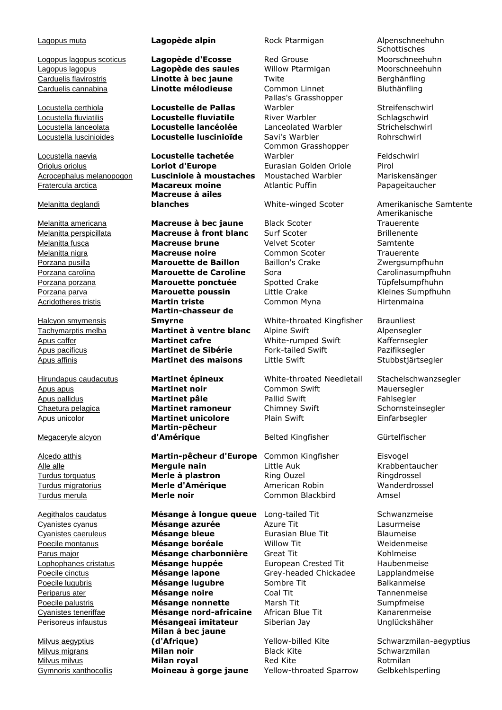Lagopus lagopus **Lagopède des saules** Willow Ptarmigan Moorschneehuhn Carduelis flavirostris **Linotte à bec jaune** Twite Berghänfling Carduelis cannabina **Linotte mélodieuse** Common Linnet Bluthänfling

Locustella certhiola **Locustelle de Pallas**

Locustella naevia **Locustelle tachetée**

## Melanitta deglandi

Halcyon smyrnensis

## Megaceryle alcyon

Milvus aegyptius

Logopus lagopus scoticus **Lagopède d'Ecosse** Red Grouse

Locustella fluviatilis **Locustelle fluviatile** River Warbler Schlagschwirl Locustella lanceolata **Locustelle lancéolée** Lanceolated Warbler Strichelschwirl Locustella luscinioides **Locustelle luscinioïde** Savi's Warbler Rohrschwirl

Oriolus oriolus **Loriot d'Europe** Eurasian Golden Oriole Pirol Acrocephalus melanopogon **Lusciniole à moustaches** Moustached Warbler Mariskensänger Fratercula arctica **Macareux moine** Atlantic Puffin Papageitaucher **Macreuse à ailes blanches** White-winged Scoter Amerikanische Samtente

Melanitta americana **Macreuse à bec jaune** Black Scoter Melanitta perspicillata **Macreuse à front blanc** Surf Scoter Brillenente Melanitta fusca **Macreuse brune** Velvet Scoter Samtente Melanitta nigra **Macreuse noire** Common Scoter Trauerente Porzana pusilla **Marouette de Baillon** Baillon's Crake Zwergsumpfhuhn Porzana carolina **Marouette de Caroline** Sora Carolinasumpfhuhn Porzana porzana **Marouette ponctuée** Spotted Crake Tüpfelsumpfhuhn Porzana parva **Marouette poussin** Little Crake Kleines Sumpfhuhn Acridotheres tristis **Martin triste** Common Myna Hirtenmaina **Martin-chasseur de Smyrne** White-throated Kingfisher Braunliest Tachymarptis melba **Martinet à ventre blanc** Alpine Swift Alpensegler Apus caffer **Martinet cafre** White-rumped Swift Kaffernsegler Apus pacificus **Martinet de Sibérie** Fork-tailed Swift Pazifiksegler Apus affinis **Martinet des maisons** Little Swift Stubbstjärtsegler

> **Martin-pêcheur**  d'Amérique **Belted Kingfisher** Gürtelfischer

Alcedo atthis **Martin-pêcheur d'Europe** Common Kingfisher Eisvogel Alle alle **Mergule nain** Little Auk Krabbentaucher Turdus torquatus **Merle à plastron** Ring Ouzel Ringdrossel Turdus migratorius **Merle d'Amérique** American Robin Manderdrossel Turdus merula **Merle noir** Common Blackbird Amsel

Aegithalos caudatus **Mésange à longue queue** Long-tailed Tit Schwanzmeise Cyanistes cyanus **Mésange azurée** Azure Tit Lasurmeise Cyanistes caeruleus **Mésange bleue** Eurasian Blue Tit Blaumeise Poecile montanus **Mésange boréale** Willow Tit Weidenmeise Parus major **Mésange charbonnière** Great Tit Kohlmeise Lophophanes cristatus **Mésange huppée** European Crested Tit Haubenmeise Poecile cinctus **Mésange lapone** Grey-headed Chickadee Lapplandmeise Poecile lugubris **Mésange lugubre** Sombre Tit Balkanmeise Periparus ater **Mésange noire** Coal Tit Tannenmeise Poecile palustris **Mésange nonnette** Marsh Tit Sumpfmeise Cyanistes teneriffae **Mésange nord-africaine** African Blue Tit Kanarenmeise Perisoreus infaustus **Mésangeai imitateur** Siberian Jay Unglückshäher **Milan à bec jaune (d'Afrique)** Yellow-billed Kite Schwarzmilan-aegyptius Milvus migrans **Milan noir** Black Kite Schwarzmilan Milvus milvus **Milan royal** Red Kite **Rotmilan**<br>Gymnoris xanthocollis **Moineau à gorge jaune** Yellow-throated Sparrow Gelbkehls Moineau à gorge jaune Yellow-throated Sparrow Gelbkehlsperling

Pallas's Grasshopper Warbler Streifenschwirl Common Grasshopper Warbler Feldschwirl

Apus apus **Martinet noir** Common Swift Mauersegler Apus pallidus **Martinet pâle** Pallid Swift Fahlsegler Chaetura pelagica **Martinet ramoneur** Chimney Swift Schornsteinsegler Apus unicolor **Martinet unicolore** Plain Swift Einfarbsegler

Lagopus muta **Lagopède alpin** Rock Ptarmigan Alpenschneehuhn **Schottisches** Moorschneehuhn

Amerikanische **Trauerente** 

Hirundapus caudacutus **Martinet épineux** White-throated Needletail Stachelschwanzsegler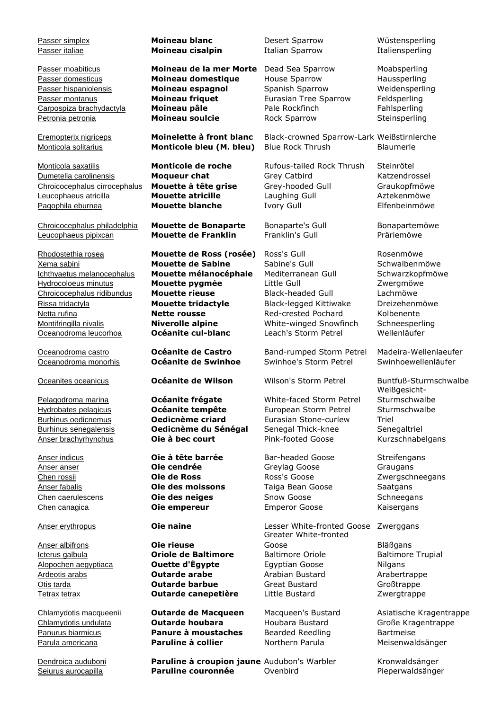Passer simplex **Moineau blanc** Desert Sparrow Wüstensperling Passer italiae **Moineau cisalpin** Italian Sparrow Italiensperling Passer moabiticus **Moineau de la mer Morte** Dead Sea Sparrow Moabsperling Passer domesticus **Moineau domestique** House Sparrow **Haussperling**<br>
Passer hispaniolensis **Moineau espagnol** Spanish Sparrow Weidensperling Passer hispaniolensis **Moineau espagnol** Spanish Sparrow Passer montanus **Moineau friquet** Eurasian Tree Sparrow Feldsperling Carpospiza brachydactyla **Moineau pâle** Pale Rockfinch Fahlsperling Petronia petronia **Moineau soulcie** Rock Sparrow Steinsperling Eremopterix nigriceps **Moinelette à front blanc** Black-crowned Sparrow-Lark Weißstirnlerche Monticola solitarius **Monticole bleu (M. bleu)** Blue Rock Thrush Blaumerle Monticola saxatilis **Monticole de roche** Rufous-tailed Rock Thrush Steinrötel Dumetella carolinensis **Moqueur chat** Grey Catbird Katzendrossel Chroicocephalus cirrocephalus **Mouette à tête grise** Grey-hooded Gull Graukopfmöwe Leucophaeus atricilla **Mouette atricille** Laughing Gull Aztekenmöwe Pagophila eburnea **Mouette blanche** Ivory Gull Elfenbeinmöwe Chroicocephalus philadelphia **Mouette de Bonaparte** Bonaparte's Gull Bonapartemöwe Leucophaeus pipixcan **Mouette de Franklin** Franklin's Gull Präriemöwe Rhodostethia rosea **Mouette de Ross (rosée)** Ross's Gull **Rosenmöwe** Rosenmöwe Xema sabini **Mouette de Sabine** Sabine's Gull Schwalbenmöwe Ichthyaetus melanocephalus **Mouette mélanocéphale** Mediterranean Gull Schwarzkopfmöwe Hydrocoloeus minutus **Mouette pygmée** Little Gull Zwergmöwe Chroicocephalus ridibundus **Mouette rieuse** Black-headed Gull Lachmöwe Rissa tridactyla **Mouette tridactyle** Black-legged Kittiwake Dreizehenmöwe Netta rufina **Nette rousse** Red-crested Pochard Kolbenente Montifringilla nivalis **Niverolle alpine** White-winged Snowfinch Schneesperling Oceanodroma leucorhoa **Océanite cul-blanc** Leach's Storm Petrel Wellenläufer Oceanodroma castro **Océanite de Castro** Band-rumped Storm Petrel Madeira-Wellenlaeufer Oceanodroma monorhis **Océanite de Swinhoe** Swinhoe's Storm Petrel Swinhoewellenläufer Oceanites oceanicus **Océanite de Wilson** Wilson's Storm Petrel Buntfuß-Sturmschwalbe Pelagodroma marina **Océanite frégate** White-faced Storm Petrel Weißgesicht-Sturmschwalbe Hydrobates pelagicus **Océanite tempête** European Storm Petrel Sturmschwalbe Burhinus oedicnemus **Oedicnème criard** Eurasian Stone-curlew Triel Burhinus senegalensis **Oedicnème du Sénégal** Senegal Thick-knee Senegaltriel Anser brachyrhynchus **Oie à bec court** Pink-footed Goose Kurzschnabelgans Anser indicus **Oie à tête barrée** Bar-headed Goose Streifengans Anser anser **Oie cendrée** Greylag Goose Graugans Chen rossii **Oie de Ross** Ross's Goose Zwergschneegans Anser fabalis **Oie des moissons** Taiga Bean Goose Saatgans Chen caerulescens **Oie des neiges** Snow Goose Schneegans Chen canagica **Oie empereur** Emperor Goose Kaisergans Anser erythropus **Oie naine** Lesser White-fronted Goose Zwerggans Anser albifrons **Oie rieuse** Greater White-fronted Goose Bläßgans **Icterus galbula Criole de Baltimore** Baltimore Oriole Baltimore Trupial Alopochen aegyptiaca **Ouette d'Égypte** Egyptian Goose Nilgans Ardeotis arabs **Cutarde arabe** Arabian Bustard Arabertrappe **Otis tarda Channele Coutarde barbue** Great Bustard Großtrappe Tetrax tetrax **Outarde canepetière** Little Bustard Zwergtrappe Chlamydotis macqueenii **Outarde de Macqueen** Macqueen's Bustard Asiatische Kragentrappe Chlamydotis undulata **Outarde houbara** Houbara Bustard Große Kragentrappe Panurus biarmicus **Panure à moustaches** Bearded Reedling Bartmeise Parula americana **Paruline à collier** Morthern Parula Meisenwaldsänger Dendroica auduboni **Paruline à croupion jaune** Audubon's Warbler Kronwaldsänger

Seiurus aurocapilla **Paruline couronnée** Ovenbird Pieperwaldsänger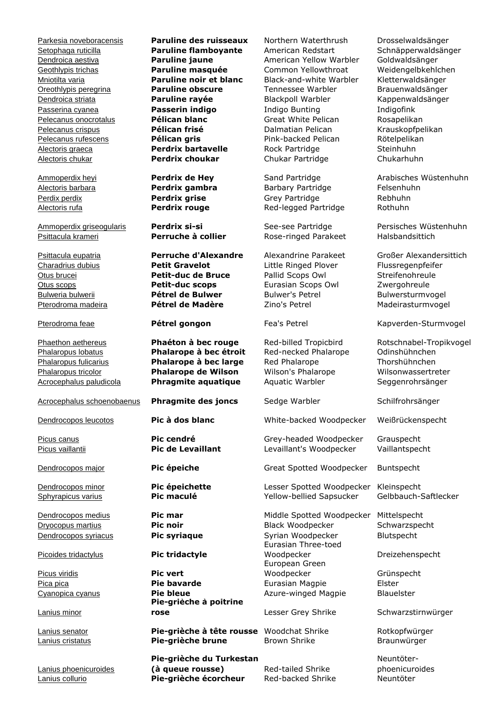Psittacula krameri **Perruche à collier** Rose-ringed Parakeet Halsbandsittich

Acrocephalus paludicola **Phragmite aquatique** Aquatic Warbler Seggenrohrsänger

Acrocephalus schoenobaenus **Phragmite des joncs** Sedge Warbler Schilfrohrsänger

Picoides tridactylus **Pic tridactyle**

Picus viridis **Pic vert**

Lanius minor

Lanius phoenicuroides

Parkesia noveboracensis **Paruline des ruisseaux** Northern Waterthrush Drosselwaldsänger Setophaga ruticilla **Paruline flamboyante** American Redstart Schnäpperwaldsänger Dendroica aestiva **Paruline jaune** American Yellow Warbler Goldwaldsänger Geothlypis trichas **Paruline masquée** Common Yellowthroat Weidengelbkehlchen<br>Monitilia varia **Paruline noir et blanc** Black-and-white Warbler Kletterwaldsänger Mniotilta varia **Paruline noir et blanc** Black-and-white Warbler Kletterwaldsänger Oreothlypis peregrina **Paruline obscure** Tennessee Warbler Brauenwaldsänger Dendroica striata **Paruline rayée** Blackpoll Warbler Kappenwaldsänger Passerina cyanea **Passerin indigo** Indigo Bunting Indigofink Pelecanus onocrotalus **Pélican blanc** Great White Pelican Rosapelikan Pelecanus crispus **Pélican frisé** Dalmatian Pelican Krauskopfpelikan Pelecanus rufescens **Pélican gris** Pink-backed Pelican Rötelpelikan Alectoris graeca **Perdrix bartavelle** Rock Partridge Steinhuhn Alectoris chukar **Perdrix choukar** Chukar Partridge Chukarhuhn

Charadrius dubius **Petit Gravelot** Little Ringed Plover Flussregenpfeifer Otus brucei **Petit-duc de Bruce** Pallid Scops Owl Streifenohreule Otus scops **Petit-duc scops** Eurasian Scops Owl Zwergohreule Bulweria bulwerii **Pétrel de Bulwer** Bulwer's Petrel Bulwersturmvogel Pterodroma madeira **Pétrel de Madère** Zino's Petrel Madeirasturmvogel

Phalaropus lobatus **Phalarope à bec étroit** Red-necked Phalarope Odinshühnchen Phalaropus fulicarius **Phalarope à bec large** Red Phalarope Thorshühnchen Phalaropus tricolor **Phalarope de Wilson** Wilson's Phalarope Wilsonwassertreter

Cyanopica cyanus **Pie bleue Prie Azure-winged Magpie** Blauelster **Pie-grièche à poitrine rose Lesser Grey Shrike** Schwarzstirnwürger

Lanius senator **Pie-grièche à tête rousse** Woodchat Shrike Rotkopfwürger Lanius cristatus **Pie-grièche brune** Brown Shrike Braunwürger

**Pie-grièche du Turkestan**  (à queue rousse) Red-tailed Shrike Lanius collurio **Pie-grièche écorcheur** Red-backed Shrike Neuntöter

Alectoris barbara **Perdrix gambra** Barbary Partridge Felsenhuhn Perdix perdix **Perdrix grise Grey Partridge** Rebhuhn Alectoris rufa **Perdrix rouge** Red-legged Partridge Rothuhn

Dendrocopos leucotos **Pic à dos blanc** White-backed Woodpecker Weißrückenspecht

Picus canus **Pic cendré** Grey-headed Woodpecker Grauspecht Picus vaillantii **Pic de Levaillant** Levaillant's Woodpecker Vaillantspecht

Dendrocopos major **Pic épeiche** Great Spotted Woodpecker Buntspecht

Dendrocopos minor **Pic épeichette** Lesser Spotted Woodpecker Kleinspecht Sphyrapicus varius **Pic maculé** Yellow-bellied Sapsucker Gelbbauch-Saftlecker

Dendrocopos medius **Pic mar** Middle Spotted Woodpecker Mittelspecht Dryocopus martius **Pic noir** Black Woodpecker Schwarzspecht **Dendrocopos syriacus <b>Pic syriaque** Syrian Woodpecker Blutspecht Eurasian Three-toed European Green Woodpecker Grünspecht Pica pica **Pie bavarde** Eurasian Magpie Elster

Ammoperdix heyi **Perdrix de Hey** Sand Partridge Arabisches Wüstenhuhn

Ammoperdix griseogularis **Perdrix si-si** See-see Partridge Persisches Wüstenhuhn

Psittacula eupatria **Perruche d'Alexandre** Alexandrine Parakeet Großer Alexandersittich

Pterodroma feae **Pétrel gongon** Fea's Petrel **Kapverden-Sturmvogel** Kapverden-Sturmvogel

Phaethon aethereus **Phaéton à bec rouge** Red-billed Tropicbird Rotschnabel-Tropikvogel

Dreizehenspecht

Neuntöterphoenicuroides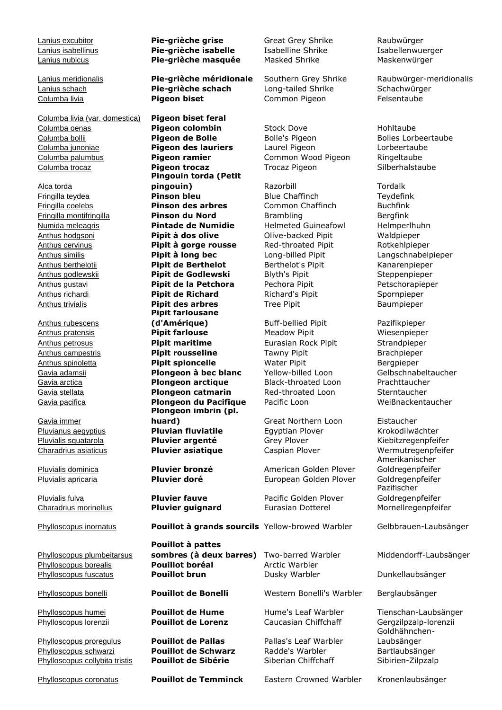Columba livia (var. domestica) **Pigeon biset feral** Columba oenas **Pigeon colombin** Stock Dove Hohltaube Columba bollii **Pigeon de Bolle** Bolle's Pigeon Bolle's Pigeon Bolles Lorbeertaube Columba junoniae **Pigeon des lauriers** Laurel Pigeon Lorbeertaube Columba palumbus **Pigeon ramier** Common Wood Pigeon Ringeltaube Columba trocaz **Pigeon trocaz** Trocaz Pigeon Silberhalstaube

Alca torda

Anthus rubescens

Gavia immer

Phylloscopus plumbeitarsus Phylloscopus fuscatus **Pouillot brun** Dusky Warbler Dunkellaubsänger

Phylloscopus schwarzi **Pouillot de Schwarz** Radde's Warbler Bartlaubsänger Phylloscopus collybita tristis **Pouillot de Sibérie** Siberian Chiffchaff Sibirien-Zilpzalp

Lanius excubitor **Pie-grièche grise** Great Grey Shrike Raubwürger Lanius isabellinus **Pie-grièche isabelle** Isabelline Shrike Isabellenwuerger Lanius nubicus **Pie-grièche masquée** Masked Shrike Maskenwürger

Lanius schach **Pie-grièche schach** Long-tailed Shrike Schachwürger Columba livia **Pigeon biset** Common Pigeon Felsentaube

**Pingouin torda (Petit pingouin)** Razorbill Razorbill Tordalk Fringilla teydea **Pinson bleu** Blue Chaffinch Teydefink Fringilla coelebs **Pinson des arbres** Common Chaffinch Buchfink Fringilla montifringilla **Pinson du Nord** Brambling Bergfink Numida meleagris **Pintade de Numidie** Helmeted Guineafowl Helmperlhuhn Anthus hodgsoni **Pipit à dos olive** Olive-backed Pipit Waldpieper Anthus cervinus **Pipit à gorge rousse** Red-throated Pipit Rotkehlpieper Anthus similis **Pipit à long bec** Long-billed Pipit Langschnabelpieper Anthus berthelotii **Pipit de Berthelot** Berthelot's Pipit Kanarenpieper Anthus godlewskii **Pipit de Godlewski** Blyth's Pipit Steppenpieper Anthus gustavi **Pipit de la Petchora** Pechora Pipit Petschorapieper Anthus richardi **Pipit de Richard** Richard's Pipit Spornpieper Anthus trivialis **Pipit des arbres** Tree Pipit Baumpieper **Pipit farlousane (d'Amérique)** Buff-bellied Pipit Pazifikpieper Anthus pratensis **Pipit farlouse** Meadow Pipit Missenpieper Anthus petrosus **Pipit maritime** Eurasian Rock Pipit Strandpieper Anthus campestris **Pipit rousseline** Tawny Pipit Brachpieper Anthus spinoletta **Pipit spioncelle** Water Pipit Bergpieper Gavia adamsii **Plongeon à bec blanc** Yellow-billed Loon Gelbschnabeltaucher Gavia arctica **Plongeon arctique** Black-throated Loon Prachttaucher Gavia stellata **Plongeon catmarin** Red-throated Loon Sterntaucher Gavia pacifica **Plongeon du Pacifique** Pacific Loon Weißnackentaucher **Plongeon imbrin (pl. huard**) Great Northern Loon Eistaucher Pluvianus aegyptius **Pluvian fluviatile** Egyptian Plover Krokodilwächter<br>Pluvialis squatarola **Pluvier argenté** Grey Plover Kiebitzregenpfeit Pluvialis squatarola **Pluvier argenté** Grey Plover Kiebitzregenpfeifer Charadrius asiaticus **Pluvier asiatique** Caspian Plover Wermutregenpfeifer

Phylloscopus inornatus **Pouillot à grands sourcils** Yellow-browed Warbler Gelbbrauen-Laubsänger

**Pouillot à pattes**  sombres (à deux barres) Two-barred Warbler Middendorff-Laubsänger Phylloscopus borealis **Pouillot boréal** Arctic Warbler

Phylloscopus proregulus **Pouillot de Pallas** Pallas's Leaf Warbler

Pluvialis dominica **Pluvier bronzé** American Golden Plover Pluvialis apricaria **Pluvier doré** European Golden Plover Goldregenpfeifer

Pluvialis fulva **Pluvier fauve** Pacific Golden Plover Charadrius morinellus **Pluvier guignard** Eurasian Dotterel Mornellregenpfeifer

Phylloscopus bonelli **Pouillot de Bonelli** Western Bonelli's Warbler Berglaubsänger

Phylloscopus lorenzii **Pouillot de Lorenz** Caucasian Chiffchaff Gergzilpzalp-lorenzii

Phylloscopus coronatus **Pouillot de Temminck** Eastern Crowned Warbler Kronenlaubsänger

Lanius meridionalis **Pie-grièche méridionale** Southern Grey Shrike Raubwürger-meridionalis

Amerikanischer Goldregenpfeifer Pazifischer Goldregenpfeifer

Phylloscopus humei **Pouillot de Hume** Hume's Leaf Warbler Tienschan-Laubsänger Goldhähnchen-Laubsänger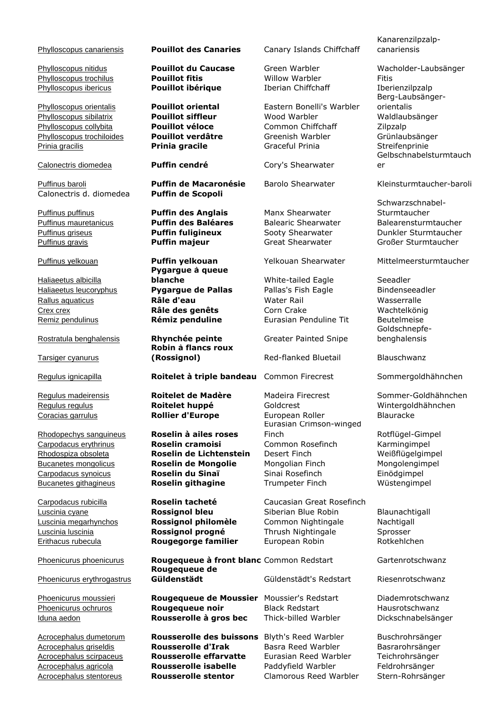Calonectris d. diomedea **Puffin de Scopoli**

Haliaeetus albicilla

Tarsiger cyanurus

Phoenicurus erythrogastrus

Phylloscopus trochilus **Pouillot fitis** Willow Warbler Fitis Phylloscopus ibericus **Pouillot ibérique** Iberian Chiffchaff Iberienzilpzalp

**Pygargue à queue blanche** White-tailed Eagle Seeadler

**Robin à flancs roux (Rossignol)** Red-flanked Bluetail Blauschwanz

# Regulus ignicapilla **Roitelet à triple bandeau** Common Firecrest Sommergoldhähnchen

Rhodopechys sanguineus **Roselin à ailes roses**

Luscinia luscinia **Rossignol progné** Thrush Nightingale

Phoenicurus phoenicurus **Rougequeue à front blanc** Common Redstart Gartenrotschwanz **Rougequeue de Güldenstädt** Güldenstädt's Redstart Riesenrotschwanz

Phoenicurus moussieri **Rougequeue de Moussier** Moussier's Redstart Diademrotschwanz Phoenicurus ochruros **Rougequeue noir** Black Redstart Hausrotschwanz Iduna aedon **Rousserolle à gros bec** Thick-billed Warbler Dickschnabelsänger

Acrocephalus dumetorum **Rousserolle des buissons** Blyth's Reed Warbler Buschrohrsänger Acrocephalus griseldis **Rousserolle d'Irak** Basra Reed Warbler Basrarohrsänger Acrocephalus scirpaceus **Rousserolle effarvatte** Eurasian Reed Warbler Teichrohrsänger Acrocephalus agricola **Rousserolle isabelle** Paddyfield Warbler Feldrohrsänger Acrocephalus stentoreus **Rousserolle stentor** Clamorous Reed Warbler Stern-Rohrsänger

Phylloscopus canariensis **Pouillot des Canaries** Canary Islands Chiffchaff

Phylloscopus orientalis **Pouillot oriental** Eastern Bonelli's Warbler Phylloscopus sibilatrix **Pouillot siffleur** Wood Warbler Waldlaubsänger **Phylloscopus collybita Pouillot véloce** Common Chiffchaff Zilpzalp<br>
Phylloscopus trochiloides **Pouillot verdâtre** Greenish Warbler Grünlau Phylloscopus trochiloides **Pouillot verdâtre** Greenish Warbler Grünlaubsänger Prinia gracilis **Prinia gracile** Graceful Prinia Streifenprinie

Calonectris diomedea **Puffin cendré** Cory's Shearwater

Puffinus puffinus **Puffin des Anglais** Manx Shearwater

Haliaeetus leucoryphus **Pygargue de Pallas** Pallas's Fish Eagle Bindenseeadler Rallus aquaticus **Râle d'eau** Water Rail Wasserralle Crex crex **Râle des genêts** Corn Crake Wachtelkönig Remiz pendulinus **Rémiz penduline** Eurasian Penduline Tit Beutelmeise

Rostratula benghalensis **Rhynchée peinte** Greater Painted Snipe

Regulus regulus **Roitelet huppé** Goldcrest Wintergoldhähnchen Coracias garrulus **Rollier d'Europe** European Roller Blauracke Eurasian Crimson-winged Finch Rotflügel-Gimpel Carpodacus erythrinus **Roselin cramoisi** Common Rosefinch Karmingimpel Rhodospiza obsoleta **Roselin de Lichtenstein** Desert Finch Weißflügelgimpel Bucanetes mongolicus **Roselin de Mongolie** Mongolian Finch Mongolengimpel Carpodacus synoicus **Roselin du Sinaï** Sinai Rosefinch Einödgimpel Bucanetes githagineus **Roselin githagine** Trumpeter Finch Wüstengimpel

Carpodacus rubicilla **Roselin tacheté** Caucasian Great Rosefinch Luscinia cyane **Rossignol bleu** Siberian Blue Robin Blaunachtigall Luscinia megarhynchos **Rossignol philomèle** Common Nightingale Nachtigall Erithacus rubecula **Rougegorge familier** European Robin Rotkehlchen

Kanarenzilpzalpcanariensis

Phylloscopus nitidus **Pouillot du Caucase** Green Warbler Wacholder-Laubsänger Berg-Laubsängerorientalis Gelbschnabelsturmtauch er

Puffinus baroli **Puffin de Macaronésie** Barolo Shearwater Kleinsturmtaucher-baroli

Schwarzschnabel-**Sturmtaucher** Puffinus mauretanicus **Puffin des Baléares** Balearic Shearwater Balearensturmtaucher Puffinus griseus **Puffin fuligineux** Sooty Shearwater Dunkler Sturmtaucher Puffinus gravis **Puffin majeur** Great Shearwater Großer Sturmtaucher

Puffinus yelkouan **Puffin yelkouan** Yelkouan Shearwater Mittelmeersturmtaucher

Goldschnepfebenghalensis

Regulus madeirensis **Roitelet de Madère** Madeira Firecrest Sommer-Goldhähnchen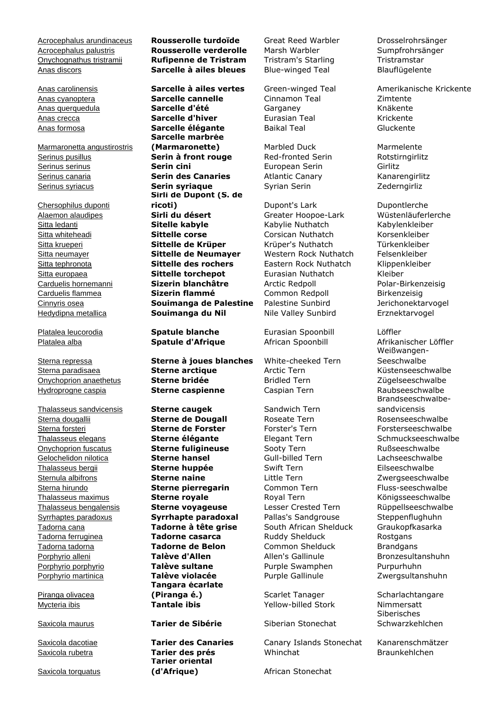Acrocephalus palustris **Rousserolle verderolle** Marsh Warbler Sumpfrohrsänger Onychognathus tristramii **Rufipenne de Tristram** Tristram's Starling Tristramstar Anas discors **Sarcelle à ailes bleues** Blue-winged Teal Blauflügelente

Marmaronetta angustirostris Serinus pusillus **Serin à front rouge** Red-fronted Serin Rotstirngirlitz Serinus serinus **Serin cini** European Serin Girlitz Serinus canaria **Serin des Canaries** Atlantic Canary Kanarengirlitz Serinus syriacus **Serin syriaque** Syrian Serin Serin Zederngirliz

Chersophilus duponti

**Thalasseus sandvicensis Sterne caugek Sandwich Tern** 

Piranga olivacea

Saxicola torquatus

# Acrocephalus arundinaceus **Rousserolle turdoïde** Great Reed Warbler Drosselrohrsänger

Anas carolinensis **Sarcelle à ailes vertes** Green-winged Teal Amerikanische Krickente Anas cyanoptera **Sarcelle cannelle** Cinnamon Teal Zimtente Anas querquedula **Sarcelle d'été** Garganey Knäkente Anas crecca **Sarcelle d'hiver** Eurasian Teal Krickente Anas formosa **Sarcelle élégante** Baikal Teal Gluckente **Sarcelle marbrée (Marmaronette)** Marbled Duck Marmelente **Sirli de Dupont (S. de ricoti)** Dupont's Lark Dupontlerche Alaemon alaudipes **Sirli du désert** Greater Hoopoe-Lark Wüstenläuferlerche Sitta ledanti **Sitelle kabyle** Kabylie Nuthatch Kabylenkleiber Sitta whiteheadi **Sittelle corse** Corsican Nuthatch Korsenkleiber Sitta krueperi **Sittelle de Krüper** Krüper's Nuthatch Türkenkleiber Sitta neumayer **Sittelle de Neumayer** Western Rock Nuthatch Felsenkleiber Sitta tephronota **Sittelle des rochers** Eastern Rock Nuthatch Klippenkleiber Sitta europaea **Sittelle torchepot** Eurasian Nuthatch Kleiber Carduelis hornemanni **Sizerin blanchâtre** Arctic Redpoll Polar-Birkenzeisig Carduelis flammea **Sizerin flammé** Common Redpoll Birkenzeisig Cinnyris osea **Souimanga de Palestine** Palestine Sunbird Jerichonektarvogel Hedydipna metallica **Souimanga du Nil** Nile Valley Sunbird Erznektarvogel

Sterna repressa **Sterne à joues blanches** White-cheeked Tern Sterna paradisaea **Sterne arctique** Arctic Tern Küstenseeschwalbe Onychoprion anaethetus **Sterne bridée** Bridled Tern Zügelseeschwalbe Hydroprogne caspia **Sterne caspienne** Caspian Tern Raubseeschwalbe

**Tangara écarlate**  (Piranga é.) Scarlet Tanager Scharlachtangare Mycteria ibis **Tantale ibis** Yellow-billed Stork Nimmersatt

**Tarier oriental**  (d'Afrique) **African Stonechat** 

Platalea leucorodia **Spatule blanche** Eurasian Spoonbill Löffler

Sterna dougallii **Sterne de Dougall** Roseate Tern Rosenseeschwalbe Sterna forsteri **Sterne de Forster** Forster's Tern Forsterseeschwalbe Thalasseus elegans **Sterne élégante** Elegant Tern **Schmuckseeschwalbe** Onychoprion fuscatus **Sterne fuligineuse** Sooty Tern Rußseeschwalbe Gelochelidon nilotica **Sterne hansel** Gull-billed Tern Lachseeschwalbe Thalasseus bergii **Sterne huppée** Swift Tern Eilseeschwalbe Sternula albifrons **Sterne naine** Little Tern Zwergseeschwalbe Sterna hirundo **Sterne pierregarin** Common Tern Fluss-seeschwalbe Thalasseus maximus **Sterne royale** Royal Tern Königsseeschwalbe Thalasseus bengalensis **Sterne voyageuse** Lesser Crested Tern Rüppellseeschwalbe Syrrhaptes paradoxus **Syrrhapte paradoxal** Pallas's Sandgrouse Steppenflughuhn Tadorna cana **Tadorne à tête grise** South African Shelduck Graukopfkasarka Tadorna ferruginea **Tadorne casarca** Ruddy Shelduck Rostgans Tadorna tadorna **Tadorne de Belon** Common Shelduck Brandgans Porphyrio alleni **Talève d'Allen** Allen's Gallinule Bronzesultanshuhn Porphyrio porphyrio **Talève sultane** Purple Swamphen Purpurhuhn Porphyrio martinica **Talève violacée** Purple Gallinule **Zwergsultanshuhn** 

Saxicola maurus **Tarier de Sibérie** Siberian Stonechat

Saxicola dacotiae **Tarier des Canaries** Canary Islands Stonechat Kanarenschmätzer Saxicola rubetra **Tarier des prés** Whinchat Braunkehlchen

Platalea alba **Spatule d'Afrique** African Spoonbill Afrikanischer Löffler Weißwangen-**Seeschwalbe** Brandseeschwalbesandvicensis

> Siberisches Schwarzkehlchen